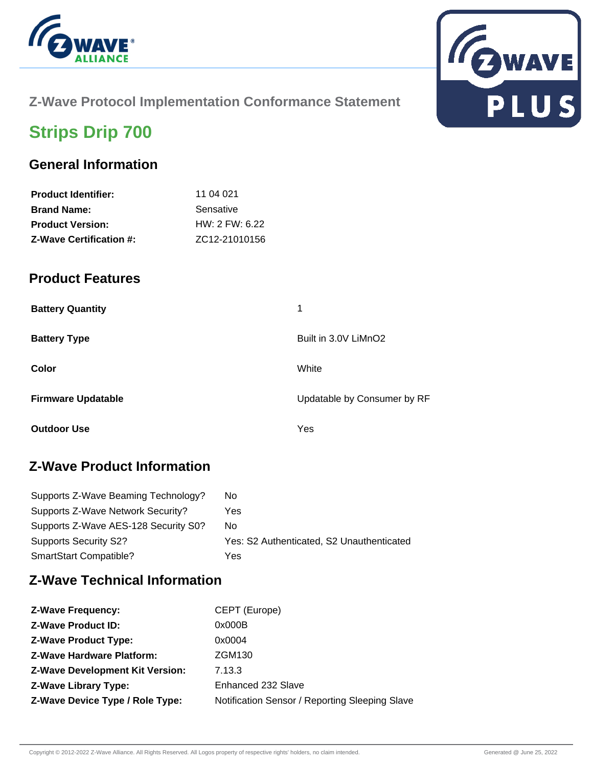



### **Z-Wave Protocol Implementation Conformance Statement**

# **Strips Drip 700**

## **General Information**

| <b>Brand Name:</b>             | Sensative      |
|--------------------------------|----------------|
| <b>Product Version:</b>        | HW: 2 FW: 6.22 |
| <b>Z-Wave Certification #:</b> | ZC12-21010156  |
|                                |                |

#### **Product Features**

| <b>Battery Quantity</b>   | 1                           |
|---------------------------|-----------------------------|
| <b>Battery Type</b>       | Built in 3.0V LiMnO2        |
| Color                     | White                       |
| <b>Firmware Updatable</b> | Updatable by Consumer by RF |
| <b>Outdoor Use</b>        | Yes                         |

## **Z-Wave Product Information**

| Supports Z-Wave Beaming Technology?  | No.                                       |
|--------------------------------------|-------------------------------------------|
| Supports Z-Wave Network Security?    | Yes                                       |
| Supports Z-Wave AES-128 Security S0? | No.                                       |
| <b>Supports Security S2?</b>         | Yes: S2 Authenticated, S2 Unauthenticated |
| SmartStart Compatible?               | Yes                                       |

### **Z-Wave Technical Information**

| <b>Z-Wave Frequency:</b>               | CEPT (Europe)                                  |
|----------------------------------------|------------------------------------------------|
| <b>Z-Wave Product ID:</b>              | 0x000B                                         |
| <b>Z-Wave Product Type:</b>            | 0x0004                                         |
| <b>Z-Wave Hardware Platform:</b>       | ZGM130                                         |
| <b>Z-Wave Development Kit Version:</b> | 7.13.3                                         |
| <b>Z-Wave Library Type:</b>            | Enhanced 232 Slave                             |
| Z-Wave Device Type / Role Type:        | Notification Sensor / Reporting Sleeping Slave |